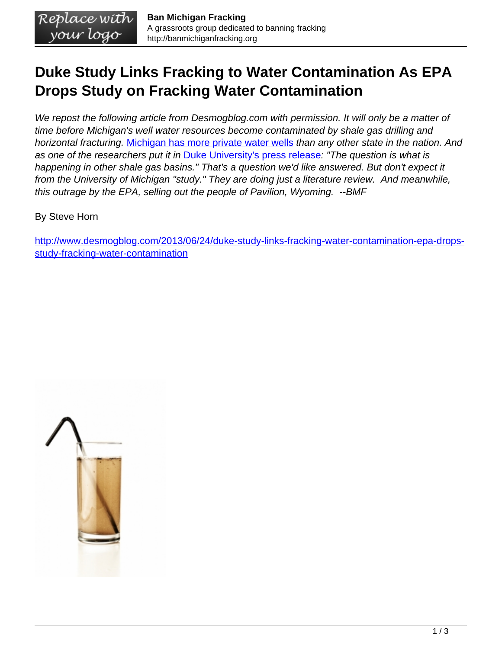## **Duke Study Links Fracking to Water Contamination As EPA Drops Study on Fracking Water Contamination**

We repost the following article from Desmogblog.com with permission. It will only be a matter of time before Michigan's well water resources become contaminated by shale gas drilling and horizontal fracturing. [Michigan has more private water wells](http://pubs.cas.psu.edu/freepubs/pdfs/agrs111.pdf) than any other state in the nation. And as one of the researchers put it in [Duke University's press release](http://www.nicholas.duke.edu/news/higher-levels-of-stray-gases-found-in-water-wells-near-shale-gas-sites): "The question is what is happening in other shale gas basins." That's a question we'd like answered. But don't expect it from the University of Michigan "study." They are doing just a literature review. And meanwhile, this outrage by the EPA, selling out the people of Pavilion, Wyoming. --BMF

By Steve Horn

[http://www.desmogblog.com/2013/06/24/duke-study-links-fracking-water-contamination-epa-drops](http://www.desmogblog.com/2013/06/24/duke-study-links-fracking-water-contamination-epa-drops-study-fracking-water-contamination)[study-fracking-water-contamination](http://www.desmogblog.com/2013/06/24/duke-study-links-fracking-water-contamination-epa-drops-study-fracking-water-contamination)

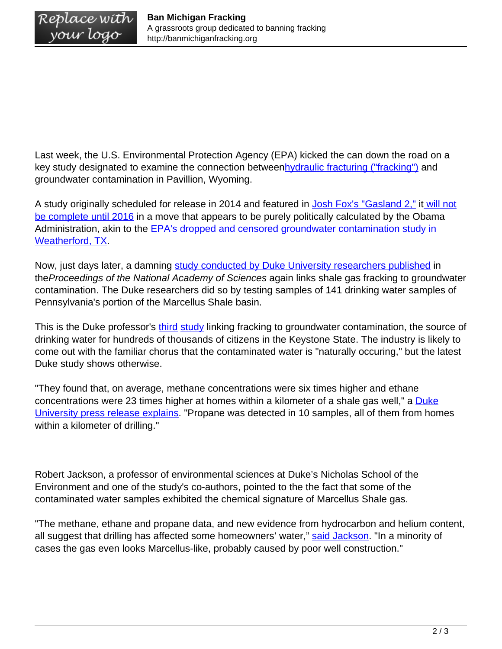Last week, the U.S. Environmental Protection Agency (EPA) kicked the can down the road on a key study designated to examine the connection betwee[nhydraulic fracturing \("fracking"\)](http://www.desmogblog.com/fracking-the-future/) and groundwater contamination in Pavillion, Wyoming.

A study originally scheduled for release in 2014 and featured in [Josh Fox's "Gasland 2,"](http://www.desmogblog.com/2013/05/21/gasland-2-grassroots-premiere-highlights-industry-psyops-fracking-fights) it [will not](http://www.mintpressnews.com/epa-pushes-back-fracking-impact-study-to-2016) [be complete until 2016](http://www.mintpressnews.com/epa-pushes-back-fracking-impact-study-to-2016) in a move that appears to be purely politically calculated by the Obama Administration, akin to the **[EPA's dropped and censored groundwater contamination study in](http://www.desmogblog.com/2013/01/16/breaking-obama-epa-shut-down-weatherford-tx-shale-gas-water-contamination-study)** [Weatherford, TX.](http://www.desmogblog.com/2013/01/16/breaking-obama-epa-shut-down-weatherford-tx-shale-gas-water-contamination-study)

Now, just days later, a damning [study conducted by Duke University researchers published](http://www.pnas.org/content/early/2013/06/19/1221635110.full.pdf+html) in theProceedings of the National Academy of Sciences again links shale gas fracking to groundwater contamination. The Duke researchers did so by testing samples of 141 drinking water samples of Pennsylvania's portion of the Marcellus Shale basin.

This is the Duke professor's *[third](http://www.propublica.org/article/scientific-study-links-flammable-drinking-water-to-fracking) study* linking fracking to groundwater contamination, the source of drinking water for hundreds of thousands of citizens in the Keystone State. The industry is likely to come out with the familiar chorus that the contaminated water is "naturally occuring," but the latest Duke study shows otherwise.

"They found that, on average, methane concentrations were six times higher and ethane concentrations were 23 times higher at homes within a kilometer of a shale gas well," a [Duke](http://www.nicholas.duke.edu/news/higher-levels-of-stray-gases-found-in-water-wells-near-shale-gas-sites) [University press release explains.](http://www.nicholas.duke.edu/news/higher-levels-of-stray-gases-found-in-water-wells-near-shale-gas-sites) "Propane was detected in 10 samples, all of them from homes within a kilometer of drilling."

Robert Jackson, a professor of environmental sciences at Duke's Nicholas School of the Environment and one of the study's co-authors, pointed to the the fact that some of the contaminated water samples exhibited the chemical signature of Marcellus Shale gas.

"The methane, ethane and propane data, and new evidence from hydrocarbon and helium content, all suggest that drilling has affected some homeowners' water," [said Jackson](http://www.nicholas.duke.edu/news/higher-levels-of-stray-gases-found-in-water-wells-near-shale-gas-sites). "In a minority of cases the gas even looks Marcellus-like, probably caused by poor well construction."